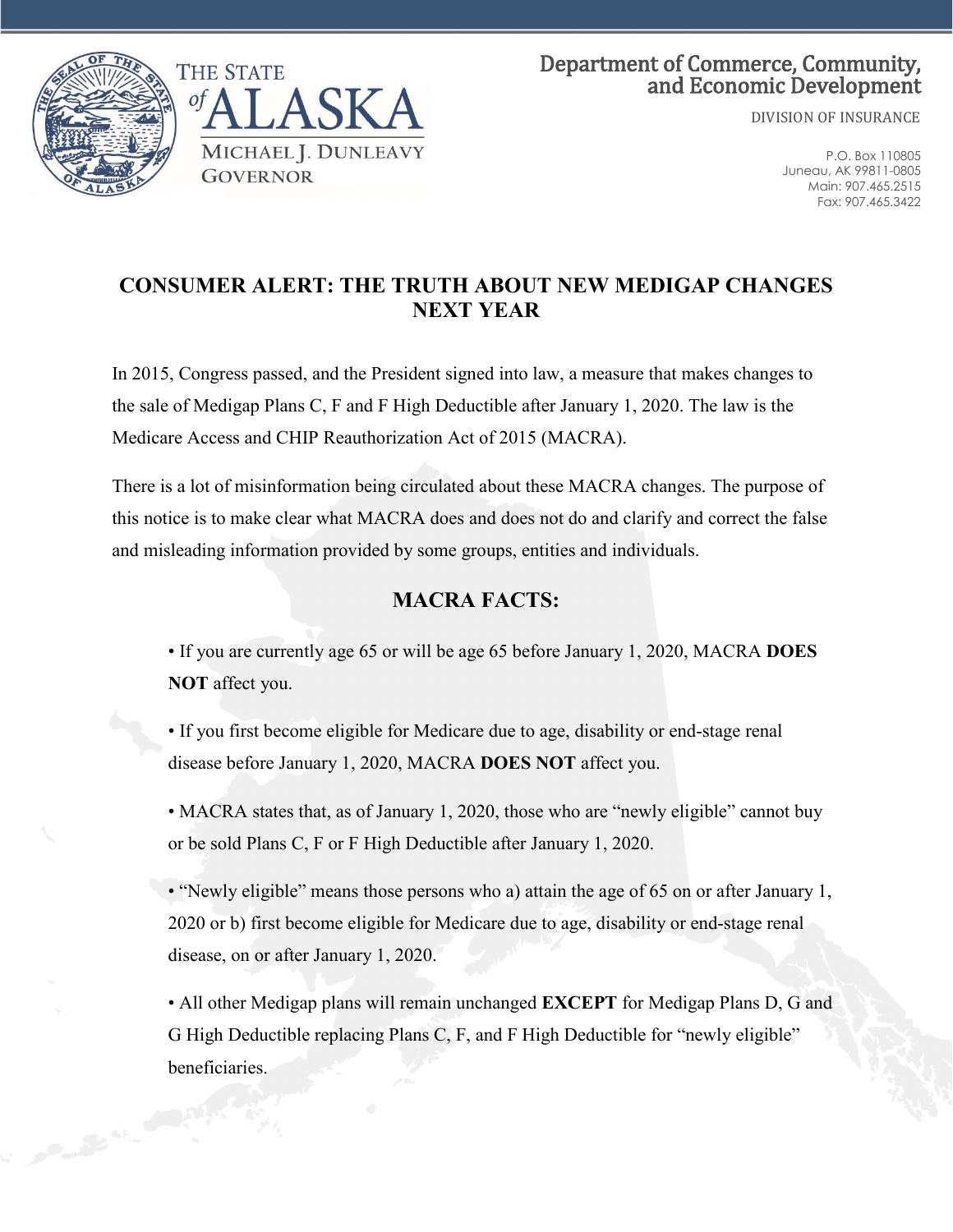

## Department of Commerce, Community, and Economic Development

DIVISION OF INSURANCE

P.O. Box 110805 Juneau, AK 99811-0805 Main: 907.465.2515 Fax: 907.465.3422

## **CONSUMER ALERT: THE TRUTH ABOUT NEW MEDIGAP CHANGES NEXT YEAR**

In 2015, Congress passed, and the President signed into law, a measure that makes changes to the sale of Medigap Plans C, F and F High Deductible after January 1, 2020. The law is the Medicare Access and CHIP Reauthorization Act of 2015 (MACRA).

There is a lot of misinformation being circulated about these MACRA changes. The purpose of this notice is to make clear what MACRA does and does not do and clarify and correct the false and misleading information provided by some groups, entities and individuals.

## **MACRA FACTS:**

• If you are currently age 65 or will be age 65 before January 1, 2020, MACRA **DOES NOT** affect you.

• If you first become eligible for Medicare due to age, disability or end-stage renal disease before January 1, 2020, MACRA **DOES NOT** affect you.

• MACRA states that, as of January 1, 2020, those who are "newly eligible" cannot buy or be sold Plans C, F or F High Deductible after January 1, 2020.

• "Newly eligible" means those persons who a) attain the age of 65 on or after January 1, 2020 or b) first become eligible for Medicare due to age, disability or end-stage renal disease, on or after January 1, 2020.

• All other Medigap plans will remain unchanged **EXCEPT** for Medigap Plans D, G and G High Deductible replacing Plans C, F, and F High Deductible for "newly eligible" beneficiaries.